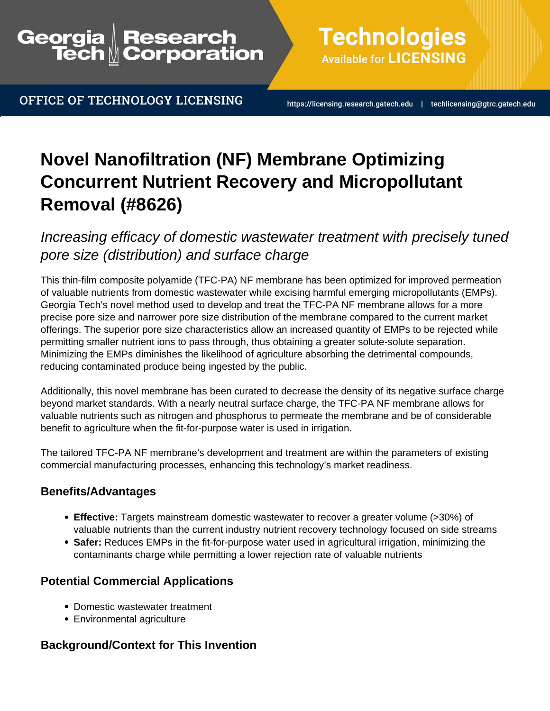## Georgia Research<br>Corporation

OFFICE OF TECHNOLOGY LICENSING

**Available for LICENSING** 

**Technologies** 

https://licensing.research.gatech.edu | techlicensing@gtrc.gatech.edu

# **Novel Nanofiltration (NF) Membrane Optimizing Concurrent Nutrient Recovery and Micropollutant Removal (#8626)**

Increasing efficacy of domestic wastewater treatment with precisely tuned pore size (distribution) and surface charge

This thin-film composite polyamide (TFC-PA) NF membrane has been optimized for improved permeation of valuable nutrients from domestic wastewater while excising harmful emerging micropollutants (EMPs). Georgia Tech's novel method used to develop and treat the TFC-PA NF membrane allows for a more precise pore size and narrower pore size distribution of the membrane compared to the current market offerings. The superior pore size characteristics allow an increased quantity of EMPs to be rejected while permitting smaller nutrient ions to pass through, thus obtaining a greater solute-solute separation. Minimizing the EMPs diminishes the likelihood of agriculture absorbing the detrimental compounds, reducing contaminated produce being ingested by the public.

Additionally, this novel membrane has been curated to decrease the density of its negative surface charge beyond market standards. With a nearly neutral surface charge, the TFC-PA NF membrane allows for valuable nutrients such as nitrogen and phosphorus to permeate the membrane and be of considerable benefit to agriculture when the fit-for-purpose water is used in irrigation.

The tailored TFC-PA NF membrane's development and treatment are within the parameters of existing commercial manufacturing processes, enhancing this technology's market readiness.

### **Benefits/Advantages**

- **Effective:** Targets mainstream domestic wastewater to recover a greater volume (>30%) of valuable nutrients than the current industry nutrient recovery technology focused on side streams
- **Safer:** Reduces EMPs in the fit-for-purpose water used in agricultural irrigation, minimizing the contaminants charge while permitting a lower rejection rate of valuable nutrients

### **Potential Commercial Applications**

- Domestic wastewater treatment
- Environmental agriculture

### **Background/Context for This Invention**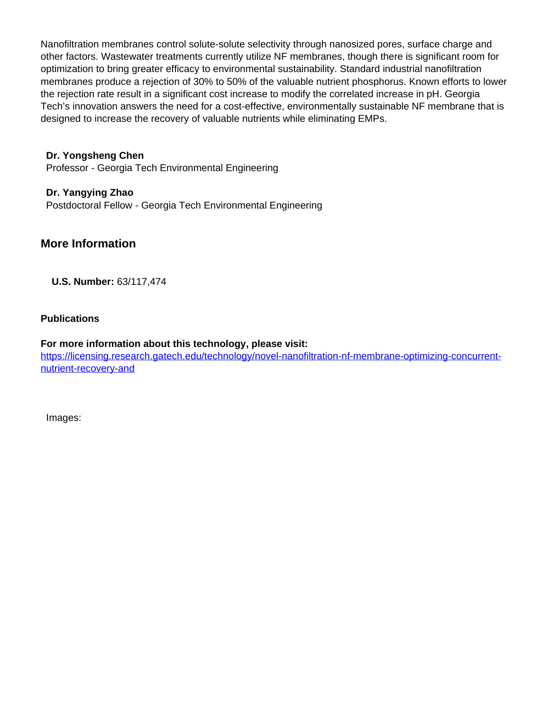Nanofiltration membranes control solute-solute selectivity through nanosized pores, surface charge and other factors. Wastewater treatments currently utilize NF membranes, though there is significant room for optimization to bring greater efficacy to environmental sustainability. Standard industrial nanofiltration membranes produce a rejection of 30% to 50% of the valuable nutrient phosphorus. Known efforts to lower the rejection rate result in a significant cost increase to modify the correlated increase in pH. Georgia Tech's innovation answers the need for a cost-effective, environmentally sustainable NF membrane that is designed to increase the recovery of valuable nutrients while eliminating EMPs.

**Dr. Yongsheng Chen** Professor - Georgia Tech Environmental Engineering

**Dr. Yangying Zhao** Postdoctoral Fellow - Georgia Tech Environmental Engineering

### **More Information**

**U.S. Number:** 63/117,474

#### **Publications**

**For more information about this technology, please visit:** [https://licensing.research.gatech.edu/technology/novel-nanofiltration-nf-membrane-optimizing-concurrent](https://licensing.research.gatech.edu/technology/novel-nanofiltration-nf-membrane-optimizing-concurrent-nutrient-recovery-and)[nutrient-recovery-and](https://licensing.research.gatech.edu/technology/novel-nanofiltration-nf-membrane-optimizing-concurrent-nutrient-recovery-and)

Images: